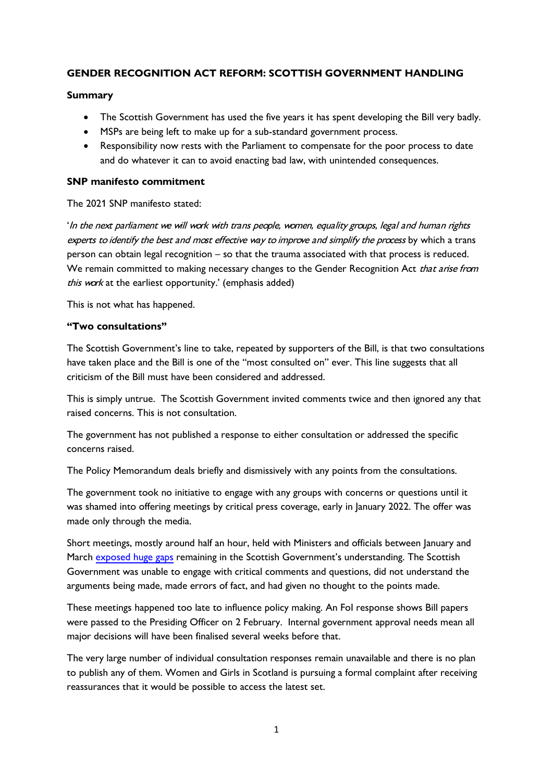# **GENDER RECOGNITION ACT REFORM: SCOTTISH GOVERNMENT HANDLING**

## **Summary**

- The Scottish Government has used the five years it has spent developing the Bill very badly.
- MSPs are being left to make up for a sub-standard government process.
- Responsibility now rests with the Parliament to compensate for the poor process to date and do whatever it can to avoid enacting bad law, with unintended consequences.

## **SNP manifesto commitment**

## The 2021 SNP manifesto stated:

'In the next parliament we will work with trans people, women, equality groups, legal and human rights experts to identify the best and most effective way to improve and simplify the process by which a trans person can obtain legal recognition – so that the trauma associated with that process is reduced. We remain committed to making necessary changes to the Gender Recognition Act that arise from this work at the earliest opportunity.' (emphasis added)

This is not what has happened.

## **"Two consultations"**

The Scottish Government's line to take, repeated by supporters of the Bill, is that two consultations have taken place and the Bill is one of the "most consulted on" ever. This line suggests that all criticism of the Bill must have been considered and addressed.

This is simply untrue. The Scottish Government invited comments twice and then ignored any that raised concerns. This is not consultation.

The government has not published a response to either consultation or addressed the specific concerns raised.

The Policy Memorandum deals briefly and dismissively with any points from the consultations.

The government took no initiative to engage with any groups with concerns or questions until it was shamed into offering meetings by critical press coverage, early in January 2022. The offer was made only through the media.

Short meetings, mostly around half an hour, held with Ministers and officials between January and March [exposed huge gaps](https://forwomen.scot/02/04/2022/meetings-between-womens-groups-and-the-scottish-government/) remaining in the Scottish Government's understanding. The Scottish Government was unable to engage with critical comments and questions, did not understand the arguments being made, made errors of fact, and had given no thought to the points made.

These meetings happened too late to influence policy making. An FoI response shows Bill papers were passed to the Presiding Officer on 2 February. Internal government approval needs mean all major decisions will have been finalised several weeks before that.

The very large number of individual consultation responses remain unavailable and there is no plan to publish any of them. Women and Girls in Scotland is pursuing a formal complaint after receiving reassurances that it would be possible to access the latest set.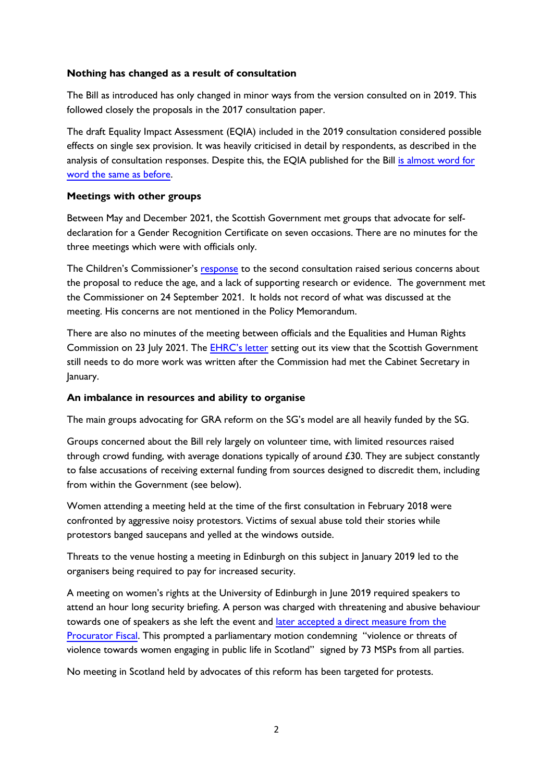## **Nothing has changed as a result of consultation**

The Bill as introduced has only changed in minor ways from the version consulted on in 2019. This followed closely the proposals in the 2017 consultation paper.

The draft Equality Impact Assessment (EQIA) included in the 2019 consultation considered possible effects on single sex provision. It was heavily criticised in detail by respondents, as described in the analysis of consultation responses. Despite this, the EQIA published for the Bill is almost word for [word the same as before.](https://murrayblackburnmackenzie.org/2022/05/20/has-the-scottish-government-undertaken-any-further-analysis-on-gender-recognition-reform-since-2019/)

## **Meetings with other groups**

Between May and December 2021, the Scottish Government met groups that advocate for selfdeclaration for a Gender Recognition Certificate on seven occasions. There are no minutes for the three meetings which were with officials only.

The Children's Commissioner's [response](https://www.cypcs.org.uk/wpcypcs/wp-content/uploads/2020/03/GRA-Reform-Scotland-Bill-response.pdf) to the second consultation raised serious concerns about the proposal to reduce the age, and a lack of supporting research or evidence. The government met the Commissioner on 24 September 2021. It holds not record of what was discussed at the meeting. His concerns are not mentioned in the Policy Memorandum.

There are also no minutes of the meeting between officials and the Equalities and Human Rights Commission on 23 July 2021. The [EHRC's letter](https://t.co/nvQXr457vn) setting out its view that the Scottish Government still needs to do more work was written after the Commission had met the Cabinet Secretary in January.

# **An imbalance in resources and ability to organise**

The main groups advocating for GRA reform on the SG's model are all heavily funded by the SG.

Groups concerned about the Bill rely largely on volunteer time, with limited resources raised through crowd funding, with average donations typically of around £30. They are subject constantly to false accusations of receiving external funding from sources designed to discredit them, including from within the Government (see below).

Women attending a meeting held at the time of the first consultation in February 2018 were confronted by aggressive noisy protestors. Victims of sexual abuse told their stories while protestors banged saucepans and yelled at the windows outside.

Threats to the venue hosting a meeting in Edinburgh on this subject in January 2019 led to the organisers being required to pay for increased security.

A meeting on women's rights at the University of Edinburgh in June 2019 required speakers to attend an hour long security briefing. A person was charged with threatening and abusive behaviour towards one of speakers as she left the event and later accepted a direct measure from the [Procurator Fiscal.](https://www.scotsman.com/news/scottish-news/scottish-schools-transgender-event-cancelled-amid-fears-speakers-safety-1400793) This prompted a parliamentary motion condemning "violence or threats of violence towards women engaging in public life in Scotland" signed by 73 MSPs from all parties.

No meeting in Scotland held by advocates of this reform has been targeted for protests.